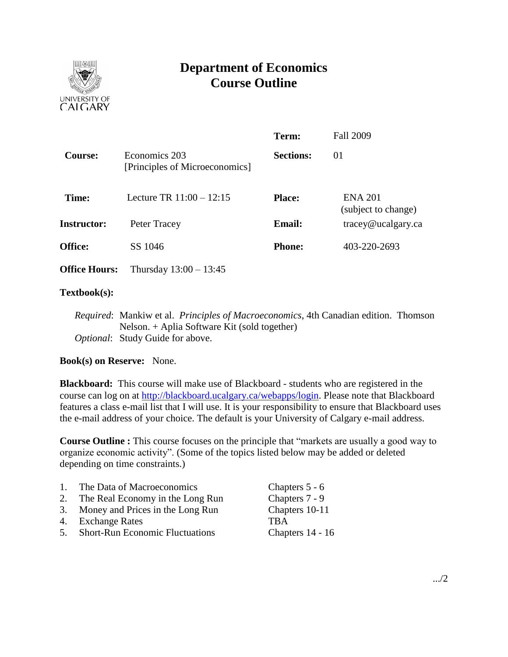

# **Department of Economics Course Outline**

|                      |                                                 | Term:            | <b>Fall 2009</b>                                |
|----------------------|-------------------------------------------------|------------------|-------------------------------------------------|
| <b>Course:</b>       | Economics 203<br>[Principles of Microeconomics] | <b>Sections:</b> | 01                                              |
| Time:                | Lecture TR $11:00 - 12:15$                      | <b>Place:</b>    | <b>ENA 201</b><br>(subject to change)           |
| <b>Instructor:</b>   | Peter Tracey                                    | <b>Email:</b>    | $trace\$ <i>e</i> $u$ $c$ $a$ $g$ $arc$ $c$ $a$ |
| <b>Office:</b>       | SS 1046                                         | <b>Phone:</b>    | 403-220-2693                                    |
| <b>Office Hours:</b> | Thursday $13:00 - 13:45$                        |                  |                                                 |

### **Textbook(s):**

*Required*: Mankiw et al. *Principles of Macroeconomics*, 4th Canadian edition. Thomson Nelson. + Aplia Software Kit (sold together) *Optional*: Study Guide for above.

## **Book(s) on Reserve:** None.

**Blackboard:** This course will make use of Blackboard - students who are registered in the course can log on at [http://blackboard.ucalgary.ca/webapps/login.](http://blackboard.ucalgary.ca/webapps/login) Please note that Blackboard features a class e-mail list that I will use. It is your responsibility to ensure that Blackboard uses the e-mail address of your choice. The default is your University of Calgary e-mail address.

**Course Outline :** This course focuses on the principle that "markets are usually a good way to organize economic activity". (Some of the topics listed below may be added or deleted depending on time constraints.)

| $1_{\cdots}$ | The Data of Macroeconomics          | Chapters 5 - 6   |
|--------------|-------------------------------------|------------------|
| 2.           | The Real Economy in the Long Run    | Chapters 7 - 9   |
|              | 3. Money and Prices in the Long Run | Chapters 10-11   |
|              | 4. Exchange Rates                   | <b>TRA</b>       |
|              | 5. Short-Run Economic Fluctuations  | Chapters 14 - 16 |
|              |                                     |                  |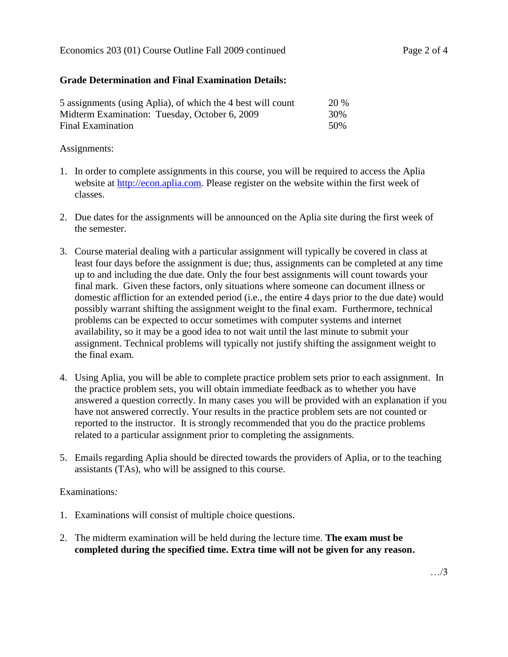### **Grade Determination and Final Examination Details:**

| 5 assignments (using Aplia), of which the 4 best will count | <b>20 %</b> |
|-------------------------------------------------------------|-------------|
| Midterm Examination: Tuesday, October 6, 2009               | 30%         |
| Final Examination                                           | 50\%        |

#### Assignments:

- 1. In order to complete assignments in this course, you will be required to access the Aplia website at [http://econ.aplia.com.](http://econ.aplia.com/) Please register on the website within the first week of classes.
- 2. Due dates for the assignments will be announced on the Aplia site during the first week of the semester.
- 3. Course material dealing with a particular assignment will typically be covered in class at least four days before the assignment is due; thus, assignments can be completed at any time up to and including the due date. Only the four best assignments will count towards your final mark. Given these factors, only situations where someone can document illness or domestic affliction for an extended period (i.e., the entire 4 days prior to the due date) would possibly warrant shifting the assignment weight to the final exam. Furthermore, technical problems can be expected to occur sometimes with computer systems and internet availability, so it may be a good idea to not wait until the last minute to submit your assignment. Technical problems will typically not justify shifting the assignment weight to the final exam.
- 4. Using Aplia, you will be able to complete practice problem sets prior to each assignment. In the practice problem sets, you will obtain immediate feedback as to whether you have answered a question correctly. In many cases you will be provided with an explanation if you have not answered correctly. Your results in the practice problem sets are not counted or reported to the instructor. It is strongly recommended that you do the practice problems related to a particular assignment prior to completing the assignments.
- 5. Emails regarding Aplia should be directed towards the providers of Aplia, or to the teaching assistants (TAs), who will be assigned to this course.

#### Examinations*:*

- 1. Examinations will consist of multiple choice questions.
- 2. The midterm examination will be held during the lecture time. **The exam must be completed during the specified time. Extra time will not be given for any reason.**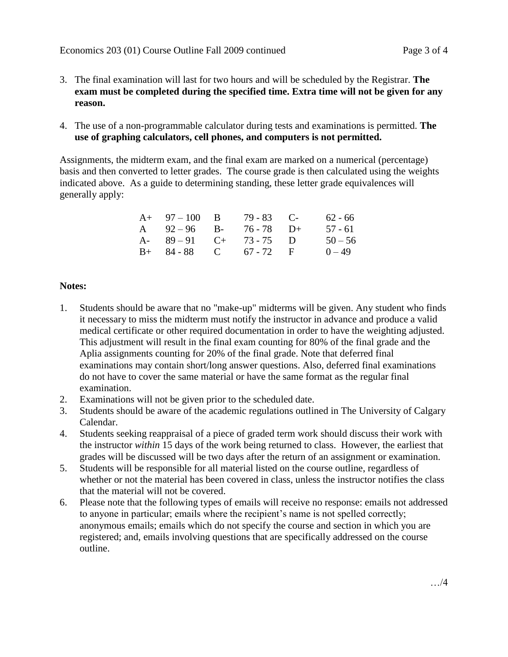- 3. The final examination will last for two hours and will be scheduled by the Registrar. **The exam must be completed during the specified time. Extra time will not be given for any reason.**
- 4. The use of a non-programmable calculator during tests and examinations is permitted. **The use of graphing calculators, cell phones, and computers is not permitted.**

Assignments, the midterm exam, and the final exam are marked on a numerical (percentage) basis and then converted to letter grades. The course grade is then calculated using the weights indicated above. As a guide to determining standing, these letter grade equivalences will generally apply:

| $A+ 97-100 B$         | $79 - 83$ C- | 62 - 66   |
|-----------------------|--------------|-----------|
| A $92-96$ B-          | $76 - 78$ D+ | $57 - 61$ |
| A- $89-91$ C+ 73-75 D |              | $50 - 56$ |
| $B+ 84-88$ C 67-72 F  |              | $0 - 49$  |

## **Notes:**

- 1. Students should be aware that no "make-up" midterms will be given. Any student who finds it necessary to miss the midterm must notify the instructor in advance and produce a valid medical certificate or other required documentation in order to have the weighting adjusted. This adjustment will result in the final exam counting for 80% of the final grade and the Aplia assignments counting for 20% of the final grade. Note that deferred final examinations may contain short/long answer questions. Also, deferred final examinations do not have to cover the same material or have the same format as the regular final examination.
- 2. Examinations will not be given prior to the scheduled date.
- 3. Students should be aware of the academic regulations outlined in The University of Calgary Calendar.
- 4. Students seeking reappraisal of a piece of graded term work should discuss their work with the instructor *within* 15 days of the work being returned to class. However, the earliest that grades will be discussed will be two days after the return of an assignment or examination.
- 5. Students will be responsible for all material listed on the course outline, regardless of whether or not the material has been covered in class, unless the instructor notifies the class that the material will not be covered.
- 6. Please note that the following types of emails will receive no response: emails not addressed to anyone in particular; emails where the recipient's name is not spelled correctly; anonymous emails; emails which do not specify the course and section in which you are registered; and, emails involving questions that are specifically addressed on the course outline.